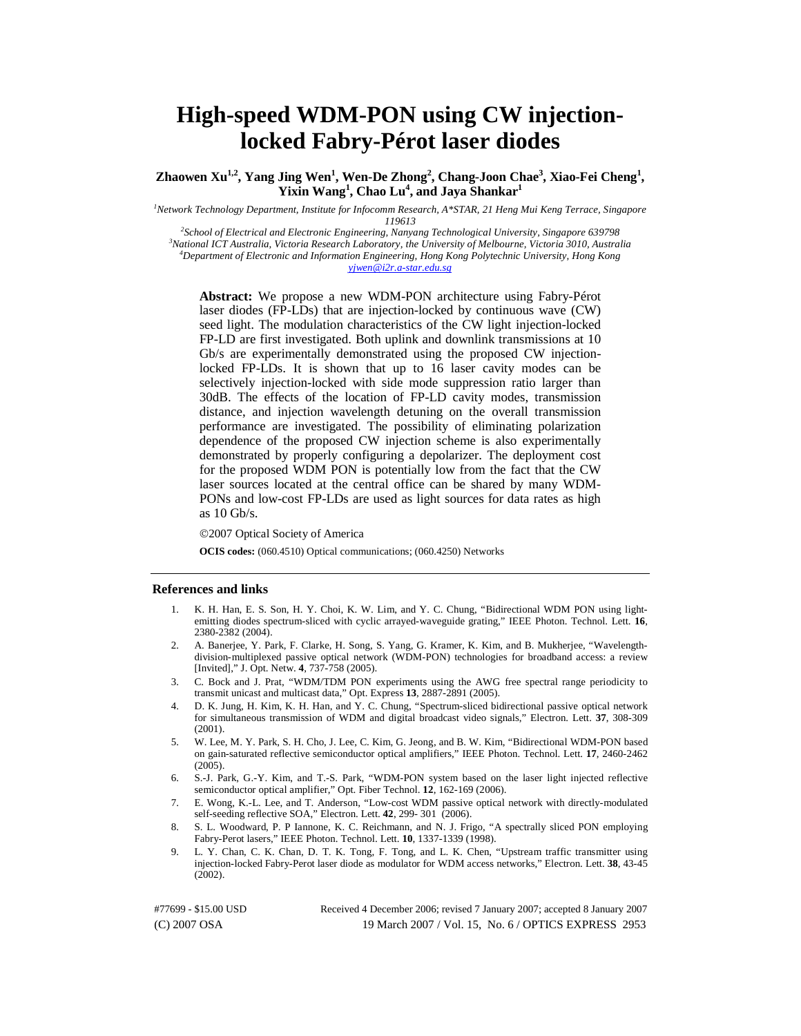# **High-speed WDM-PON using CW injectionlocked Fabry-Pérot laser diodes**

Zhaowen Xu<sup>1,2</sup>, Yang Jing Wen<sup>1</sup>, Wen-De Zhong<sup>2</sup>, Chang-Joon Chae<sup>3</sup>, Xiao-Fei Cheng<sup>1</sup>, **Yixin Wang<sup>1</sup> , Chao Lu4 , and Jaya Shankar1**

*1 Network Technology Department, Institute for Infocomm Research, A\*STAR, 21 Heng Mui Keng Terrace, Singapore* 

*119613 2 School of Electrical and Electronic Engineering, Nanyang Technological University, Singapore 639798 3 National ICT Australia, Victoria Research Laboratory, the University of Melbourne, Victoria 3010, Australia 4 Department of Electronic and Information Engineering, Hong Kong Polytechnic University, Hong Kong yjwen@i2r.a-star.edu.sg*

**Abstract:** We propose a new WDM-PON architecture using Fabry-Pérot laser diodes (FP-LDs) that are injection-locked by continuous wave (CW) seed light. The modulation characteristics of the CW light injection-locked FP-LD are first investigated. Both uplink and downlink transmissions at 10 Gb/s are experimentally demonstrated using the proposed CW injectionlocked FP-LDs. It is shown that up to 16 laser cavity modes can be selectively injection-locked with side mode suppression ratio larger than 30dB. The effects of the location of FP-LD cavity modes, transmission distance, and injection wavelength detuning on the overall transmission performance are investigated. The possibility of eliminating polarization dependence of the proposed CW injection scheme is also experimentally demonstrated by properly configuring a depolarizer. The deployment cost for the proposed WDM PON is potentially low from the fact that the CW laser sources located at the central office can be shared by many WDM-PONs and low-cost FP-LDs are used as light sources for data rates as high as 10 Gb/s.

©2007 Optical Society of America

**OCIS codes:** (060.4510) Optical communications; (060.4250) Networks

#### **References and links**

- 1. K. H. Han, E. S. Son, H. Y. Choi, K. W. Lim, and Y. C. Chung, "Bidirectional WDM PON using lightemitting diodes spectrum-sliced with cyclic arrayed-waveguide grating," IEEE Photon. Technol. Lett. **16**, 2380-2382 (2004).
- 2. A. Banerjee, Y. Park, F. Clarke, H. Song, S. Yang, G. Kramer, K. Kim, and B. Mukherjee, "Wavelengthdivision-multiplexed passive optical network (WDM-PON) technologies for broadband access: a review [Invited]," J. Opt. Netw. **4**, 737-758 (2005).
- 3. C. Bock and J. Prat, "WDM/TDM PON experiments using the AWG free spectral range periodicity to transmit unicast and multicast data," Opt. Express **13**, 2887-2891 (2005).
- 4. D. K. Jung, H. Kim, K. H. Han, and Y. C. Chung, "Spectrum-sliced bidirectional passive optical network for simultaneous transmission of WDM and digital broadcast video signals," Electron. Lett. **37**, 308-309 (2001).
- 5. W. Lee, M. Y. Park, S. H. Cho, J. Lee, C. Kim, G. Jeong, and B. W. Kim, "Bidirectional WDM-PON based on gain-saturated reflective semiconductor optical amplifiers," IEEE Photon. Technol. Lett. **17**, 2460-2462 (2005).
- 6. S.-J. Park, G.-Y. Kim, and T.-S. Park, "WDM-PON system based on the laser light injected reflective semiconductor optical amplifier," Opt. Fiber Technol. **12**, 162-169 (2006).
- 7. E. Wong, K.-L. Lee, and T. Anderson, "Low-cost WDM passive optical network with directly-modulated self-seeding reflective SOA," Electron. Lett. **42**, 299- 301 (2006).
- 8. S. L. Woodward, P. P Iannone, K. C. Reichmann, and N. J. Frigo, "A spectrally sliced PON employing Fabry-Perot lasers," IEEE Photon. Technol. Lett. **10**, 1337-1339 (1998).
- 9. L. Y. Chan, C. K. Chan, D. T. K. Tong, F. Tong, and L. K. Chen, "Upstream traffic transmitter using injection-locked Fabry-Perot laser diode as modulator for WDM access networks," Electron. Lett. **38**, 43-45  $(2002)$ .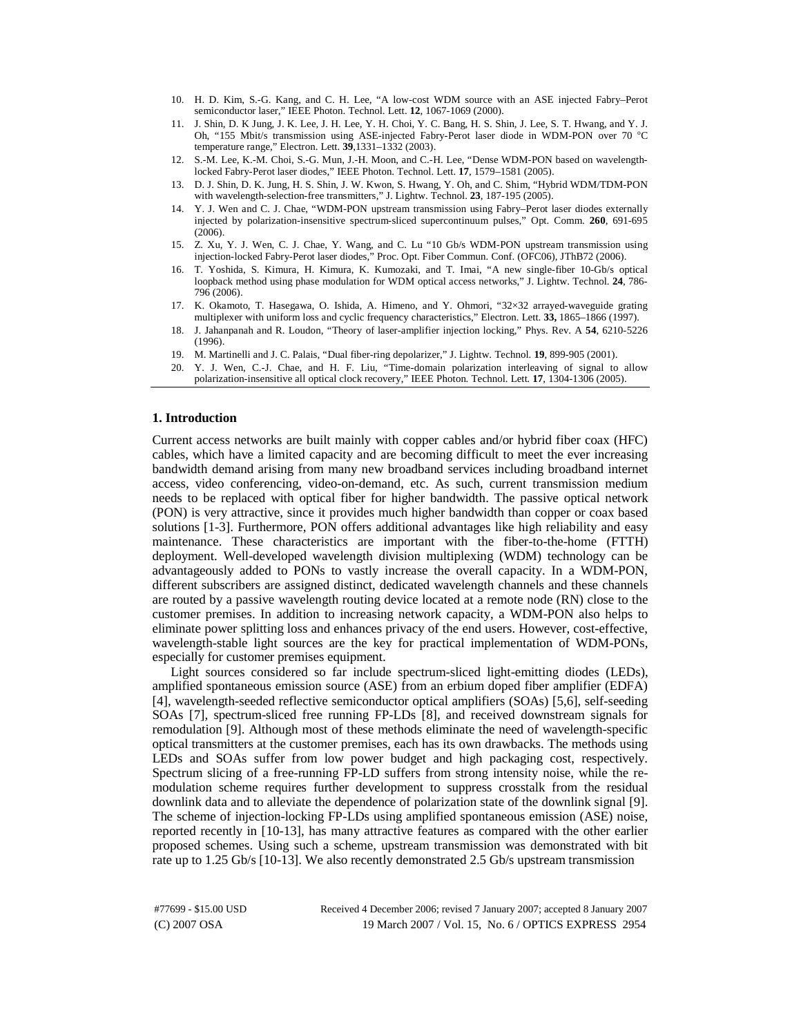- 10. H. D. Kim, S.-G. Kang, and C. H. Lee, "A low-cost WDM source with an ASE injected Fabry–Perot semiconductor laser," IEEE Photon. Technol. Lett. **12**, 1067-1069 (2000).
- 11. J. Shin, D. K Jung, J. K. Lee, J. H. Lee, Y. H. Choi, Y. C. Bang, H. S. Shin, J. Lee, S. T. Hwang, and Y. J. Oh, "155 Mbit/s transmission using ASE-injected Fabry-Perot laser diode in WDM-PON over 70 °C temperature range," Electron. Lett. **39**,1331–1332 (2003).
- 12. S.-M. Lee, K.-M. Choi, S.-G. Mun, J.-H. Moon, and C.-H. Lee, "Dense WDM-PON based on wavelengthlocked Fabry-Perot laser diodes," IEEE Photon. Technol. Lett. **17**, 1579–1581 (2005).
- 13. D. J. Shin, D. K. Jung, H. S. Shin, J. W. Kwon, S. Hwang, Y. Oh, and C. Shim, "Hybrid WDM/TDM-PON with wavelength-selection-free transmitters," J. Lightw. Technol. **23**, 187-195 (2005).
- 14. Y. J. Wen and C. J. Chae, "WDM-PON upstream transmission using Fabry–Perot laser diodes externally injected by polarization-insensitive spectrum-sliced supercontinuum pulses," Opt. Comm. **260**, 691-695  $(2006).$
- 15. Z. Xu, Y. J. Wen, C. J. Chae, Y. Wang, and C. Lu "10 Gb/s WDM-PON upstream transmission using injection-locked Fabry-Perot laser diodes," Proc. Opt. Fiber Commun. Conf. (OFC06), JThB72 (2006).
- 16. T. Yoshida, S. Kimura, H. Kimura, K. Kumozaki, and T. Imai, "A new single-fiber 10-Gb/s optical loopback method using phase modulation for WDM optical access networks," J. Lightw. Technol. **24**, 786- 796 (2006).
- 17. K. Okamoto, T. Hasegawa, O. Ishida, A. Himeno, and Y. Ohmori, "32×32 arrayed-waveguide grating multiplexer with uniform loss and cyclic frequency characteristics," Electron. Lett. **33,** 1865–1866 (1997).
- 18. J. Jahanpanah and R. Loudon, "Theory of laser-amplifier injection locking," Phys. Rev. A **54**, 6210-5226 (1996).
- 19. M. Martinelli and J. C. Palais, "Dual fiber-ring depolarizer," J. Lightw. Technol. **19**, 899-905 (2001).
- 20. Y. J. Wen, C.-J. Chae, and H. F. Liu, "Time-domain polarization interleaving of signal to allow polarization-insensitive all optical clock recovery," IEEE Photon. Technol. Lett*.* **17**, 1304-1306 (2005).

# **1. Introduction**

Current access networks are built mainly with copper cables and/or hybrid fiber coax (HFC) cables, which have a limited capacity and are becoming difficult to meet the ever increasing bandwidth demand arising from many new broadband services including broadband internet access, video conferencing, video-on-demand, etc. As such, current transmission medium needs to be replaced with optical fiber for higher bandwidth. The passive optical network (PON) is very attractive, since it provides much higher bandwidth than copper or coax based solutions [1-3]. Furthermore, PON offers additional advantages like high reliability and easy maintenance. These characteristics are important with the fiber-to-the-home (FTTH) deployment. Well-developed wavelength division multiplexing (WDM) technology can be advantageously added to PONs to vastly increase the overall capacity. In a WDM-PON, different subscribers are assigned distinct, dedicated wavelength channels and these channels are routed by a passive wavelength routing device located at a remote node (RN) close to the customer premises. In addition to increasing network capacity, a WDM-PON also helps to eliminate power splitting loss and enhances privacy of the end users. However, cost-effective, wavelength-stable light sources are the key for practical implementation of WDM-PONs, especially for customer premises equipment.

Light sources considered so far include spectrum-sliced light-emitting diodes (LEDs), amplified spontaneous emission source (ASE) from an erbium doped fiber amplifier (EDFA) [4], wavelength-seeded reflective semiconductor optical amplifiers (SOAs) [5,6], self-seeding SOAs [7], spectrum-sliced free running FP-LDs [8], and received downstream signals for remodulation [9]. Although most of these methods eliminate the need of wavelength-specific optical transmitters at the customer premises, each has its own drawbacks. The methods using LEDs and SOAs suffer from low power budget and high packaging cost, respectively. Spectrum slicing of a free-running FP-LD suffers from strong intensity noise, while the remodulation scheme requires further development to suppress crosstalk from the residual downlink data and to alleviate the dependence of polarization state of the downlink signal [9]. The scheme of injection-locking FP-LDs using amplified spontaneous emission (ASE) noise, reported recently in [10-13], has many attractive features as compared with the other earlier proposed schemes. Using such a scheme, upstream transmission was demonstrated with bit rate up to 1.25 Gb/s [10-13]. We also recently demonstrated 2.5 Gb/s upstream transmission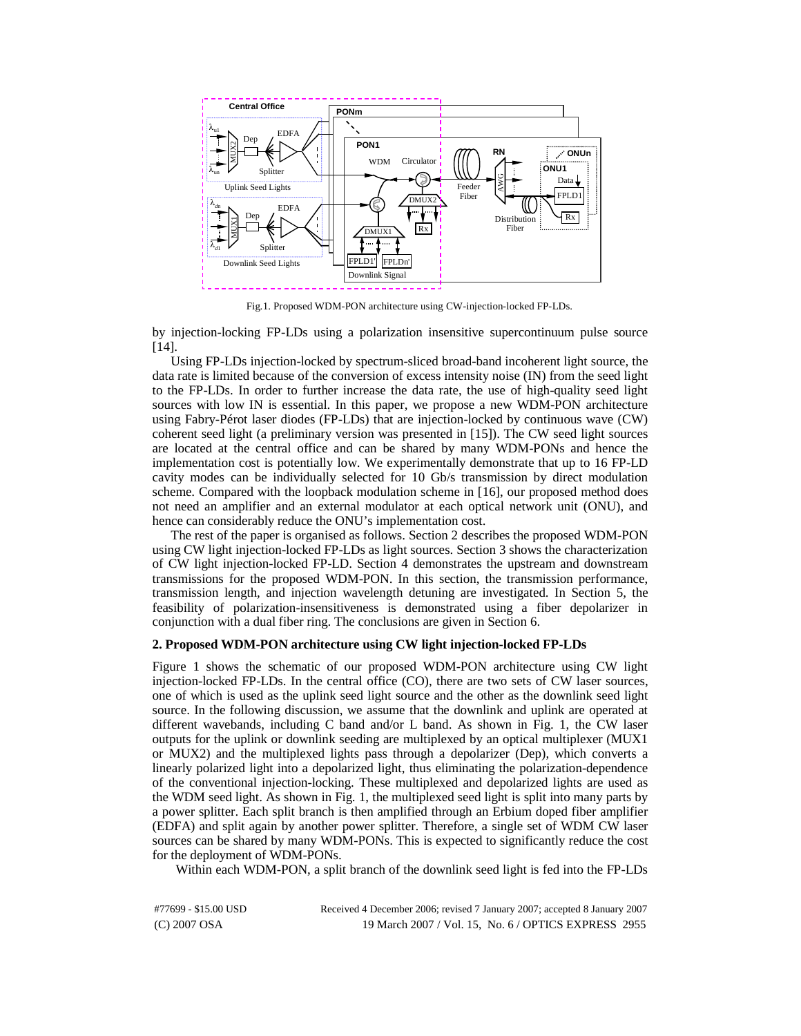

Fig.1. Proposed WDM-PON architecture using CW-injection-locked FP-LDs.

by injection-locking FP-LDs using a polarization insensitive supercontinuum pulse source [14].

Using FP-LDs injection-locked by spectrum-sliced broad-band incoherent light source, the data rate is limited because of the conversion of excess intensity noise (IN) from the seed light to the FP-LDs. In order to further increase the data rate, the use of high-quality seed light sources with low IN is essential. In this paper, we propose a new WDM-PON architecture using Fabry-Pérot laser diodes (FP-LDs) that are injection-locked by continuous wave (CW) coherent seed light (a preliminary version was presented in [15]). The CW seed light sources are located at the central office and can be shared by many WDM-PONs and hence the implementation cost is potentially low. We experimentally demonstrate that up to 16 FP-LD cavity modes can be individually selected for 10 Gb/s transmission by direct modulation scheme. Compared with the loopback modulation scheme in [16], our proposed method does not need an amplifier and an external modulator at each optical network unit (ONU), and hence can considerably reduce the ONU's implementation cost.

The rest of the paper is organised as follows. Section 2 describes the proposed WDM-PON using CW light injection-locked FP-LDs as light sources. Section 3 shows the characterization of CW light injection-locked FP-LD. Section 4 demonstrates the upstream and downstream transmissions for the proposed WDM-PON. In this section, the transmission performance, transmission length, and injection wavelength detuning are investigated. In Section 5, the feasibility of polarization-insensitiveness is demonstrated using a fiber depolarizer in conjunction with a dual fiber ring. The conclusions are given in Section 6.

# **2. Proposed WDM-PON architecture using CW light injection-locked FP-LDs**

Figure 1 shows the schematic of our proposed WDM-PON architecture using CW light injection-locked FP-LDs. In the central office (CO), there are two sets of CW laser sources, one of which is used as the uplink seed light source and the other as the downlink seed light source. In the following discussion, we assume that the downlink and uplink are operated at different wavebands, including C band and/or L band. As shown in Fig. 1, the CW laser outputs for the uplink or downlink seeding are multiplexed by an optical multiplexer (MUX1 or MUX2) and the multiplexed lights pass through a depolarizer (Dep), which converts a linearly polarized light into a depolarized light, thus eliminating the polarization-dependence of the conventional injection-locking. These multiplexed and depolarized lights are used as the WDM seed light. As shown in Fig. 1, the multiplexed seed light is split into many parts by a power splitter. Each split branch is then amplified through an Erbium doped fiber amplifier (EDFA) and split again by another power splitter. Therefore, a single set of WDM CW laser sources can be shared by many WDM-PONs. This is expected to significantly reduce the cost for the deployment of WDM-PONs.

Within each WDM-PON, a split branch of the downlink seed light is fed into the FP-LDs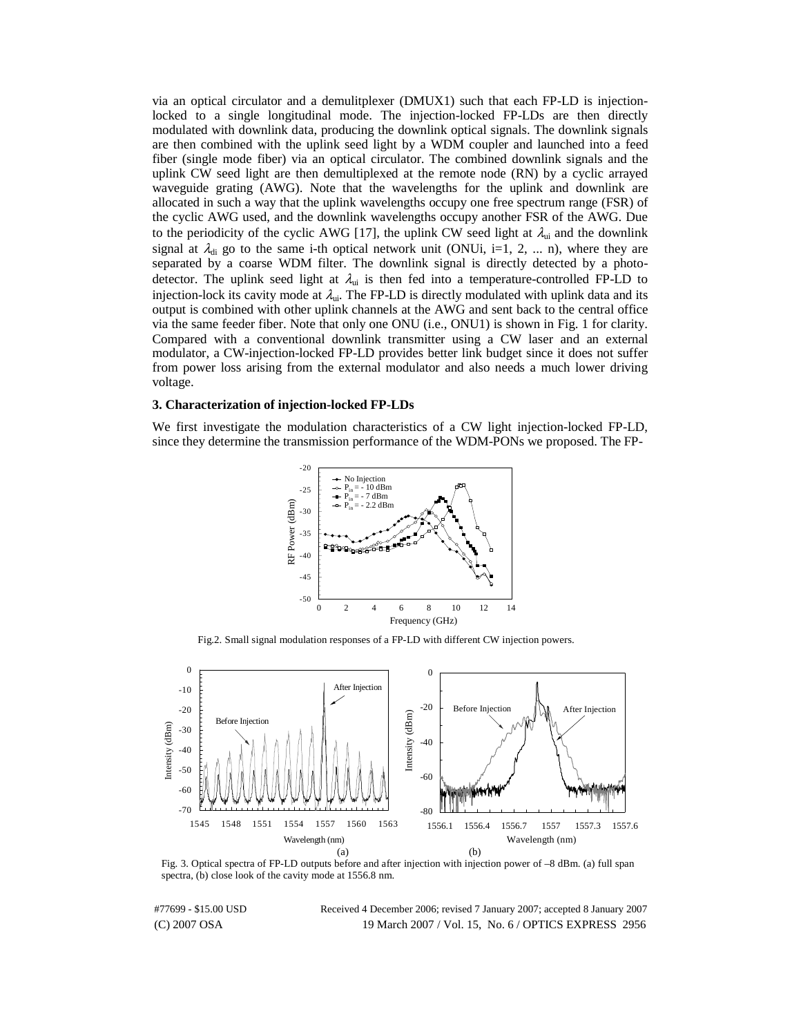via an optical circulator and a demulitplexer (DMUX1) such that each FP-LD is injectionlocked to a single longitudinal mode. The injection-locked FP-LDs are then directly modulated with downlink data, producing the downlink optical signals. The downlink signals are then combined with the uplink seed light by a WDM coupler and launched into a feed fiber (single mode fiber) via an optical circulator. The combined downlink signals and the uplink CW seed light are then demultiplexed at the remote node (RN) by a cyclic arrayed waveguide grating (AWG). Note that the wavelengths for the uplink and downlink are allocated in such a way that the uplink wavelengths occupy one free spectrum range (FSR) of the cyclic AWG used, and the downlink wavelengths occupy another FSR of the AWG. Due to the periodicity of the cyclic AWG [17], the uplink CW seed light at  $\lambda_{ui}$  and the downlink signal at  $\lambda_{di}$  go to the same i-th optical network unit (ONUi, i=1, 2, ... n), where they are separated by a coarse WDM filter. The downlink signal is directly detected by a photodetector. The uplink seed light at  $\lambda_{ui}$  is then fed into a temperature-controlled FP-LD to injection-lock its cavity mode at  $\lambda_{ui}$ . The FP-LD is directly modulated with uplink data and its output is combined with other uplink channels at the AWG and sent back to the central office via the same feeder fiber. Note that only one ONU (i.e., ONU1) is shown in Fig. 1 for clarity. Compared with a conventional downlink transmitter using a CW laser and an external modulator, a CW-injection-locked FP-LD provides better link budget since it does not suffer from power loss arising from the external modulator and also needs a much lower driving voltage.

## **3. Characterization of injection-locked FP-LDs**

We first investigate the modulation characteristics of a CW light injection-locked FP-LD, since they determine the transmission performance of the WDM-PONs we proposed. The FP-



Fig.2. Small signal modulation responses of a FP-LD with different CW injection powers.



Fig. 3. Optical spectra of FP-LD outputs before and after injection with injection power of –8 dBm. (a) full span spectra, (b) close look of the cavity mode at 1556.8 nm.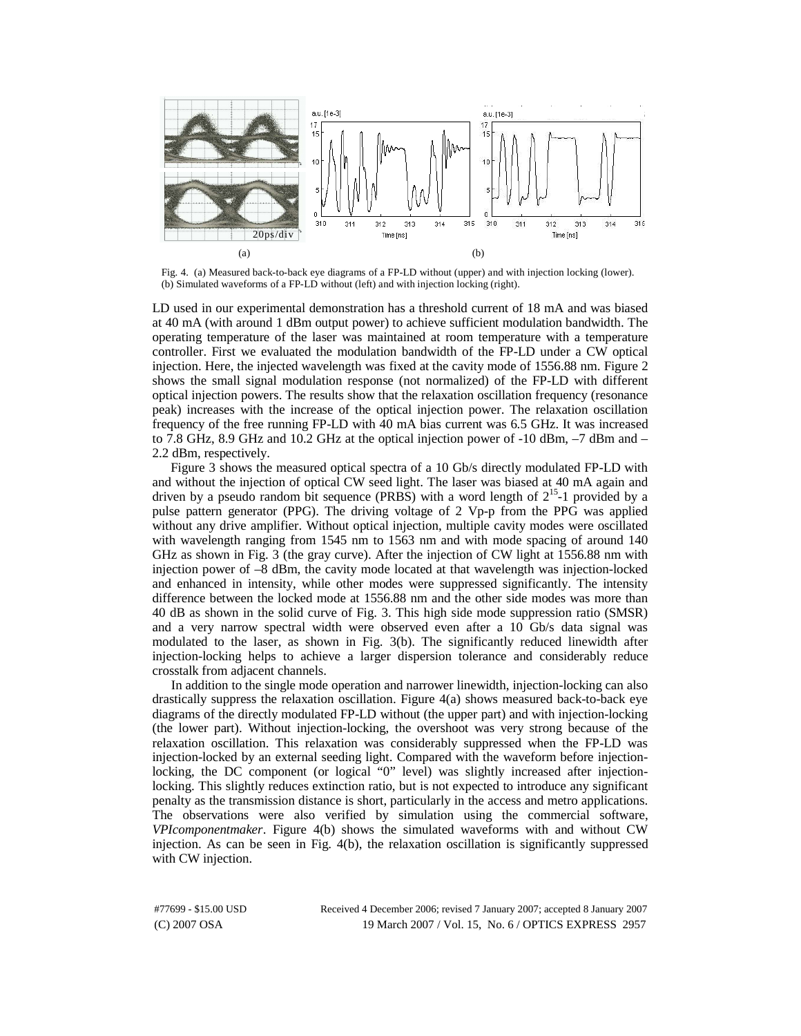

Fig. 4. (a) Measured back-to-back eye diagrams of a FP-LD without (upper) and with injection locking (lower). (b) Simulated waveforms of a FP-LD without (left) and with injection locking (right).

LD used in our experimental demonstration has a threshold current of 18 mA and was biased at 40 mA (with around 1 dBm output power) to achieve sufficient modulation bandwidth. The operating temperature of the laser was maintained at room temperature with a temperature controller. First we evaluated the modulation bandwidth of the FP-LD under a CW optical injection. Here, the injected wavelength was fixed at the cavity mode of 1556.88 nm. Figure 2 shows the small signal modulation response (not normalized) of the FP-LD with different optical injection powers. The results show that the relaxation oscillation frequency (resonance peak) increases with the increase of the optical injection power. The relaxation oscillation frequency of the free running FP-LD with 40 mA bias current was 6.5 GHz. It was increased to 7.8 GHz, 8.9 GHz and 10.2 GHz at the optical injection power of -10 dBm,  $-7$  dBm and  $-$ 2.2 dBm, respectively.

Figure 3 shows the measured optical spectra of a 10 Gb/s directly modulated FP-LD with and without the injection of optical CW seed light. The laser was biased at 40 mA again and driven by a pseudo random bit sequence (PRBS) with a word length of  $2^{15}$ -1 provided by a pulse pattern generator (PPG). The driving voltage of 2 Vp-p from the PPG was applied without any drive amplifier. Without optical injection, multiple cavity modes were oscillated with wavelength ranging from 1545 nm to 1563 nm and with mode spacing of around 140 GHz as shown in Fig. 3 (the gray curve). After the injection of CW light at 1556.88 nm with injection power of –8 dBm, the cavity mode located at that wavelength was injection-locked and enhanced in intensity, while other modes were suppressed significantly. The intensity difference between the locked mode at 1556.88 nm and the other side modes was more than 40 dB as shown in the solid curve of Fig. 3. This high side mode suppression ratio (SMSR) and a very narrow spectral width were observed even after a 10 Gb/s data signal was modulated to the laser, as shown in Fig. 3(b). The significantly reduced linewidth after injection-locking helps to achieve a larger dispersion tolerance and considerably reduce crosstalk from adjacent channels.

In addition to the single mode operation and narrower linewidth, injection-locking can also drastically suppress the relaxation oscillation. Figure 4(a) shows measured back-to-back eye diagrams of the directly modulated FP-LD without (the upper part) and with injection-locking (the lower part). Without injection-locking, the overshoot was very strong because of the relaxation oscillation. This relaxation was considerably suppressed when the FP-LD was injection-locked by an external seeding light. Compared with the waveform before injectionlocking, the DC component (or logical "0" level) was slightly increased after injectionlocking. This slightly reduces extinction ratio, but is not expected to introduce any significant penalty as the transmission distance is short, particularly in the access and metro applications. The observations were also verified by simulation using the commercial software, *VPIcomponentmaker*. Figure 4(b) shows the simulated waveforms with and without CW injection. As can be seen in Fig. 4(b), the relaxation oscillation is significantly suppressed with CW injection.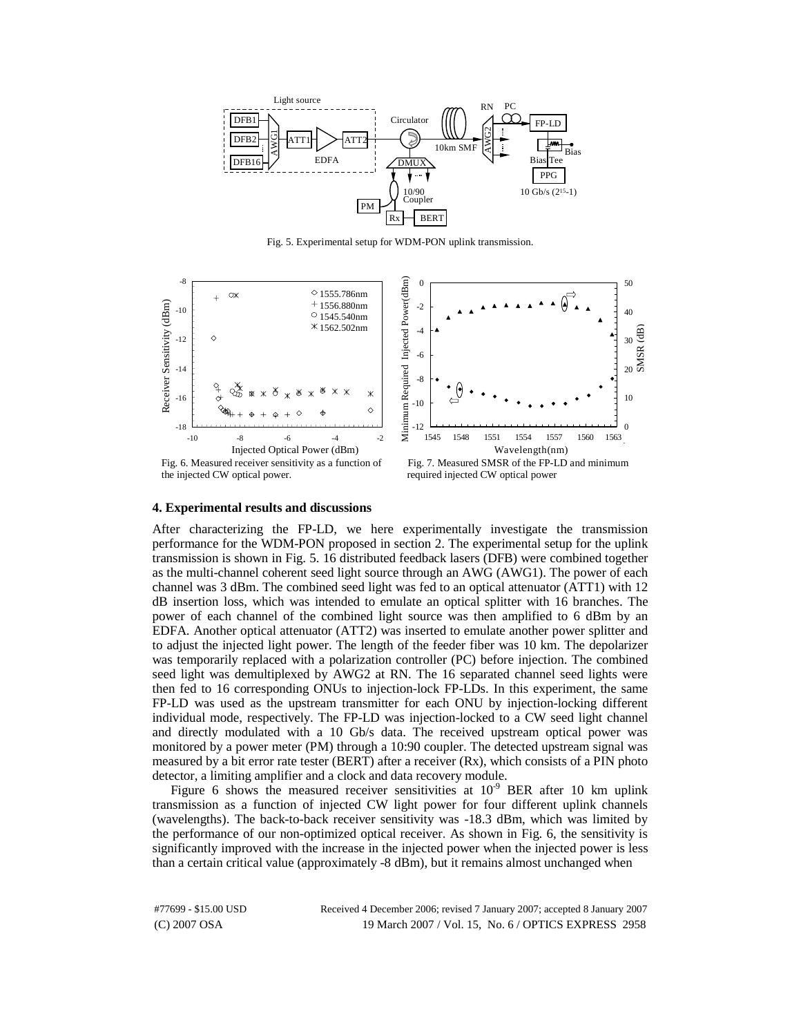

Fig. 5. Experimental setup for WDM-PON uplink transmission.



#### **4. Experimental results and discussions**

After characterizing the FP-LD, we here experimentally investigate the transmission performance for the WDM-PON proposed in section 2. The experimental setup for the uplink transmission is shown in Fig. 5. 16 distributed feedback lasers (DFB) were combined together as the multi-channel coherent seed light source through an AWG (AWG1). The power of each channel was 3 dBm. The combined seed light was fed to an optical attenuator (ATT1) with 12 dB insertion loss, which was intended to emulate an optical splitter with 16 branches. The power of each channel of the combined light source was then amplified to 6 dBm by an EDFA. Another optical attenuator (ATT2) was inserted to emulate another power splitter and to adjust the injected light power. The length of the feeder fiber was 10 km. The depolarizer was temporarily replaced with a polarization controller (PC) before injection. The combined seed light was demultiplexed by AWG2 at RN. The 16 separated channel seed lights were then fed to 16 corresponding ONUs to injection-lock FP-LDs. In this experiment, the same FP-LD was used as the upstream transmitter for each ONU by injection-locking different individual mode, respectively. The FP-LD was injection-locked to a CW seed light channel and directly modulated with a 10 Gb/s data. The received upstream optical power was monitored by a power meter (PM) through a 10:90 coupler. The detected upstream signal was measured by a bit error rate tester (BERT) after a receiver (Rx), which consists of a PIN photo detector, a limiting amplifier and a clock and data recovery module.

Figure 6 shows the measured receiver sensitivities at  $10^{-9}$  BER after 10 km uplink transmission as a function of injected CW light power for four different uplink channels (wavelengths). The back-to-back receiver sensitivity was -18.3 dBm, which was limited by the performance of our non-optimized optical receiver. As shown in Fig. 6, the sensitivity is significantly improved with the increase in the injected power when the injected power is less than a certain critical value (approximately -8 dBm), but it remains almost unchanged when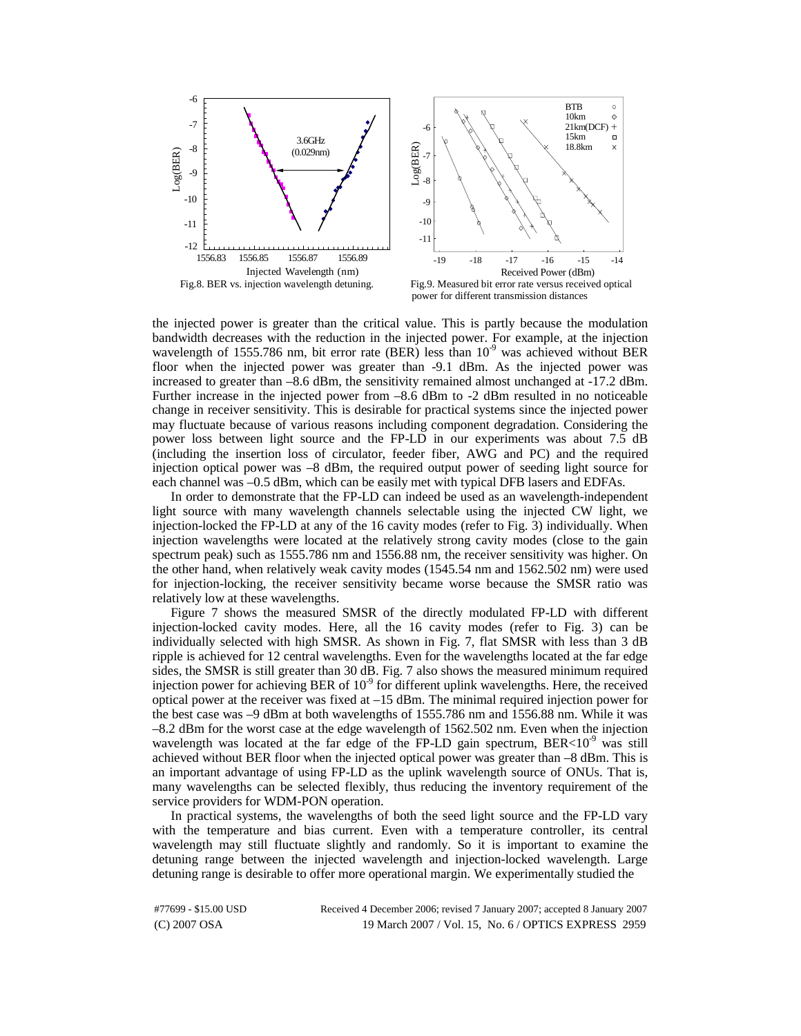

the injected power is greater than the critical value. This is partly because the modulation

bandwidth decreases with the reduction in the injected power. For example, at the injection wavelength of 1555.786 nm, bit error rate (BER) less than  $10^{-9}$  was achieved without BER floor when the injected power was greater than -9.1 dBm. As the injected power was increased to greater than –8.6 dBm, the sensitivity remained almost unchanged at -17.2 dBm. Further increase in the injected power from –8.6 dBm to -2 dBm resulted in no noticeable change in receiver sensitivity. This is desirable for practical systems since the injected power may fluctuate because of various reasons including component degradation. Considering the power loss between light source and the FP-LD in our experiments was about 7.5 dB (including the insertion loss of circulator, feeder fiber, AWG and PC) and the required injection optical power was –8 dBm, the required output power of seeding light source for each channel was –0.5 dBm, which can be easily met with typical DFB lasers and EDFAs.

In order to demonstrate that the FP-LD can indeed be used as an wavelength-independent light source with many wavelength channels selectable using the injected CW light, we injection-locked the FP-LD at any of the 16 cavity modes (refer to Fig. 3) individually. When injection wavelengths were located at the relatively strong cavity modes (close to the gain spectrum peak) such as 1555.786 nm and 1556.88 nm, the receiver sensitivity was higher. On the other hand, when relatively weak cavity modes (1545.54 nm and 1562.502 nm) were used for injection-locking, the receiver sensitivity became worse because the SMSR ratio was relatively low at these wavelengths.

Figure 7 shows the measured SMSR of the directly modulated FP-LD with different injection-locked cavity modes. Here, all the 16 cavity modes (refer to Fig. 3) can be individually selected with high SMSR. As shown in Fig. 7, flat SMSR with less than 3 dB ripple is achieved for 12 central wavelengths. Even for the wavelengths located at the far edge sides, the SMSR is still greater than 30 dB. Fig. 7 also shows the measured minimum required injection power for achieving BER of  $10<sup>9</sup>$  for different uplink wavelengths. Here, the received optical power at the receiver was fixed at –15 dBm. The minimal required injection power for the best case was –9 dBm at both wavelengths of 1555.786 nm and 1556.88 nm. While it was –8.2 dBm for the worst case at the edge wavelength of 1562.502 nm. Even when the injection wavelength was located at the far edge of the FP-LD gain spectrum,  $BER<10^{-9}$  was still achieved without BER floor when the injected optical power was greater than –8 dBm. This is an important advantage of using FP-LD as the uplink wavelength source of ONUs. That is, many wavelengths can be selected flexibly, thus reducing the inventory requirement of the service providers for WDM-PON operation.

In practical systems, the wavelengths of both the seed light source and the FP-LD vary with the temperature and bias current. Even with a temperature controller, its central wavelength may still fluctuate slightly and randomly. So it is important to examine the detuning range between the injected wavelength and injection-locked wavelength. Large detuning range is desirable to offer more operational margin. We experimentally studied the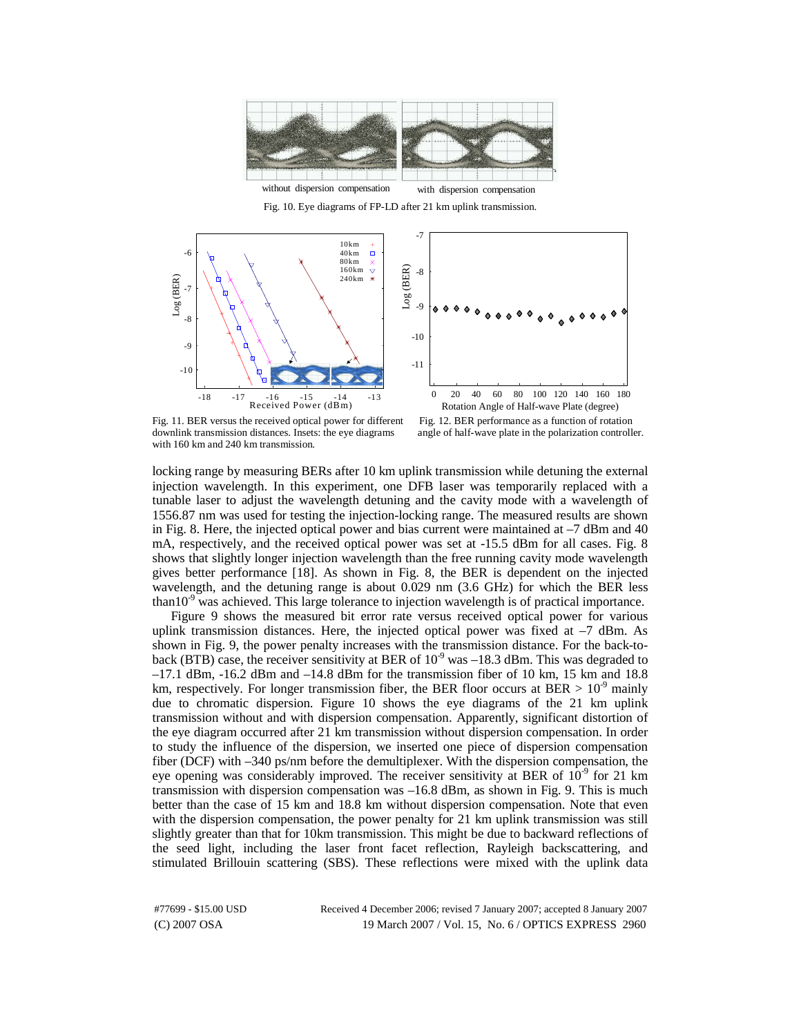

Fig. 10. Eye diagrams of FP-LD after 21 km uplink transmission.





Fig. 11. BER versus the received optical power for different Fig. 12. BER performance as a function of rotation downlink transmission distances. Insets: the eve diagrams angle of half-wave plate in the polarization control with 160 km and 240 km transmission.

angle of half-wave plate in the polarization controller.

locking range by measuring BERs after 10 km uplink transmission while detuning the external injection wavelength. In this experiment, one DFB laser was temporarily replaced with a tunable laser to adjust the wavelength detuning and the cavity mode with a wavelength of 1556.87 nm was used for testing the injection-locking range. The measured results are shown in Fig. 8. Here, the injected optical power and bias current were maintained at –7 dBm and 40 mA, respectively, and the received optical power was set at -15.5 dBm for all cases. Fig. 8 shows that slightly longer injection wavelength than the free running cavity mode wavelength gives better performance [18]. As shown in Fig. 8, the BER is dependent on the injected wavelength, and the detuning range is about 0.029 nm (3.6 GHz) for which the BER less than10 $^9$  was achieved. This large tolerance to injection wavelength is of practical importance.

Figure 9 shows the measured bit error rate versus received optical power for various uplink transmission distances. Here, the injected optical power was fixed at  $-7$  dBm. As shown in Fig. 9, the power penalty increases with the transmission distance. For the back-toback (BTB) case, the receiver sensitivity at BER of  $10^{-9}$  was  $-18.3$  dBm. This was degraded to  $-17.1$  dBm,  $-16.2$  dBm and  $-14.8$  dBm for the transmission fiber of 10 km, 15 km and 18.8 km, respectively. For longer transmission fiber, the BER floor occurs at BER  $> 10^{-9}$  mainly due to chromatic dispersion. Figure 10 shows the eye diagrams of the 21 km uplink transmission without and with dispersion compensation. Apparently, significant distortion of the eye diagram occurred after 21 km transmission without dispersion compensation. In order to study the influence of the dispersion, we inserted one piece of dispersion compensation fiber (DCF) with –340 ps/nm before the demultiplexer. With the dispersion compensation, the eye opening was considerably improved. The receiver sensitivity at BER of  $10^{-9}$  for 21 km transmission with dispersion compensation was –16.8 dBm, as shown in Fig. 9. This is much better than the case of 15 km and 18.8 km without dispersion compensation. Note that even with the dispersion compensation, the power penalty for 21 km uplink transmission was still slightly greater than that for 10km transmission. This might be due to backward reflections of the seed light, including the laser front facet reflection, Rayleigh backscattering, and stimulated Brillouin scattering (SBS). These reflections were mixed with the uplink data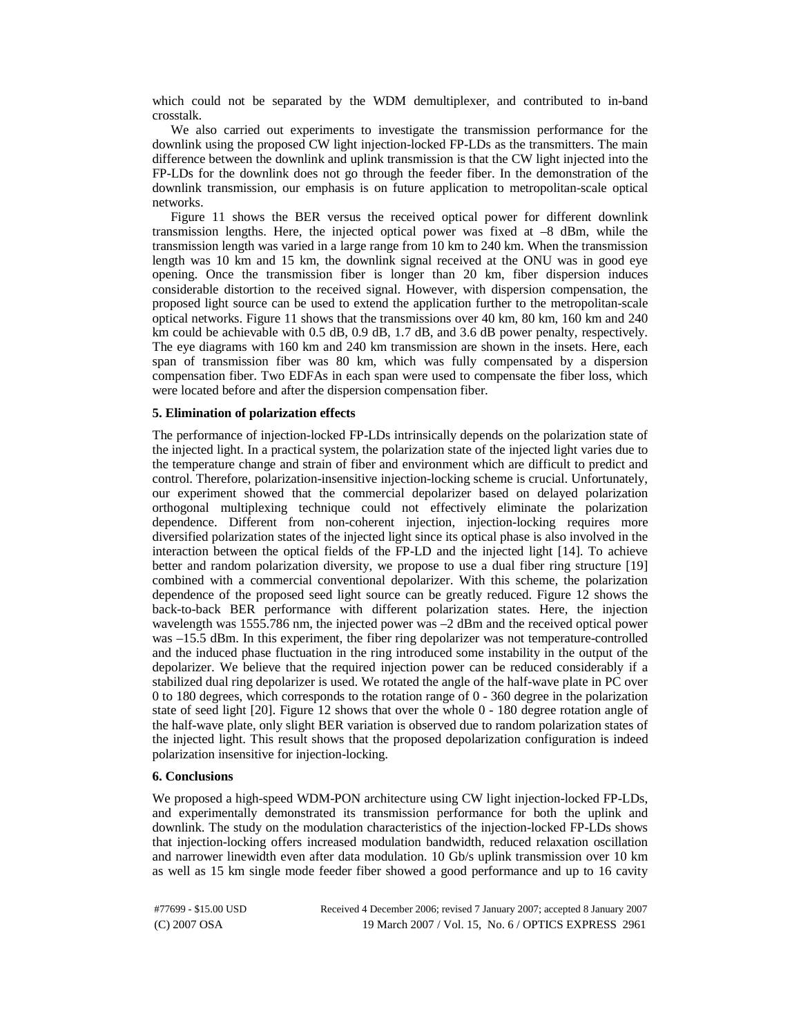which could not be separated by the WDM demultiplexer, and contributed to in-band crosstalk.

We also carried out experiments to investigate the transmission performance for the downlink using the proposed CW light injection-locked FP-LDs as the transmitters. The main difference between the downlink and uplink transmission is that the CW light injected into the FP-LDs for the downlink does not go through the feeder fiber. In the demonstration of the downlink transmission, our emphasis is on future application to metropolitan-scale optical networks.

Figure 11 shows the BER versus the received optical power for different downlink transmission lengths. Here, the injected optical power was fixed at  $-8$  dBm, while the transmission length was varied in a large range from 10 km to 240 km. When the transmission length was 10 km and 15 km, the downlink signal received at the ONU was in good eye opening. Once the transmission fiber is longer than 20 km, fiber dispersion induces considerable distortion to the received signal. However, with dispersion compensation, the proposed light source can be used to extend the application further to the metropolitan-scale optical networks. Figure 11 shows that the transmissions over 40 km, 80 km, 160 km and 240 km could be achievable with 0.5 dB, 0.9 dB, 1.7 dB, and 3.6 dB power penalty, respectively. The eye diagrams with 160 km and 240 km transmission are shown in the insets. Here, each span of transmission fiber was 80 km, which was fully compensated by a dispersion compensation fiber. Two EDFAs in each span were used to compensate the fiber loss, which were located before and after the dispersion compensation fiber.

# **5. Elimination of polarization effects**

The performance of injection-locked FP-LDs intrinsically depends on the polarization state of the injected light. In a practical system, the polarization state of the injected light varies due to the temperature change and strain of fiber and environment which are difficult to predict and control. Therefore, polarization-insensitive injection-locking scheme is crucial. Unfortunately, our experiment showed that the commercial depolarizer based on delayed polarization orthogonal multiplexing technique could not effectively eliminate the polarization dependence. Different from non-coherent injection, injection-locking requires more diversified polarization states of the injected light since its optical phase is also involved in the interaction between the optical fields of the FP-LD and the injected light [14]. To achieve better and random polarization diversity, we propose to use a dual fiber ring structure [19] combined with a commercial conventional depolarizer. With this scheme, the polarization dependence of the proposed seed light source can be greatly reduced. Figure 12 shows the back-to-back BER performance with different polarization states. Here, the injection wavelength was 1555.786 nm, the injected power was –2 dBm and the received optical power was –15.5 dBm. In this experiment, the fiber ring depolarizer was not temperature-controlled and the induced phase fluctuation in the ring introduced some instability in the output of the depolarizer. We believe that the required injection power can be reduced considerably if a stabilized dual ring depolarizer is used. We rotated the angle of the half-wave plate in PC over 0 to 180 degrees, which corresponds to the rotation range of 0 - 360 degree in the polarization state of seed light [20]. Figure 12 shows that over the whole 0 - 180 degree rotation angle of the half-wave plate, only slight BER variation is observed due to random polarization states of the injected light. This result shows that the proposed depolarization configuration is indeed polarization insensitive for injection-locking.

### **6. Conclusions**

We proposed a high-speed WDM-PON architecture using CW light injection-locked FP-LDs, and experimentally demonstrated its transmission performance for both the uplink and downlink. The study on the modulation characteristics of the injection-locked FP-LDs shows that injection-locking offers increased modulation bandwidth, reduced relaxation oscillation and narrower linewidth even after data modulation. 10 Gb/s uplink transmission over 10 km as well as 15 km single mode feeder fiber showed a good performance and up to 16 cavity